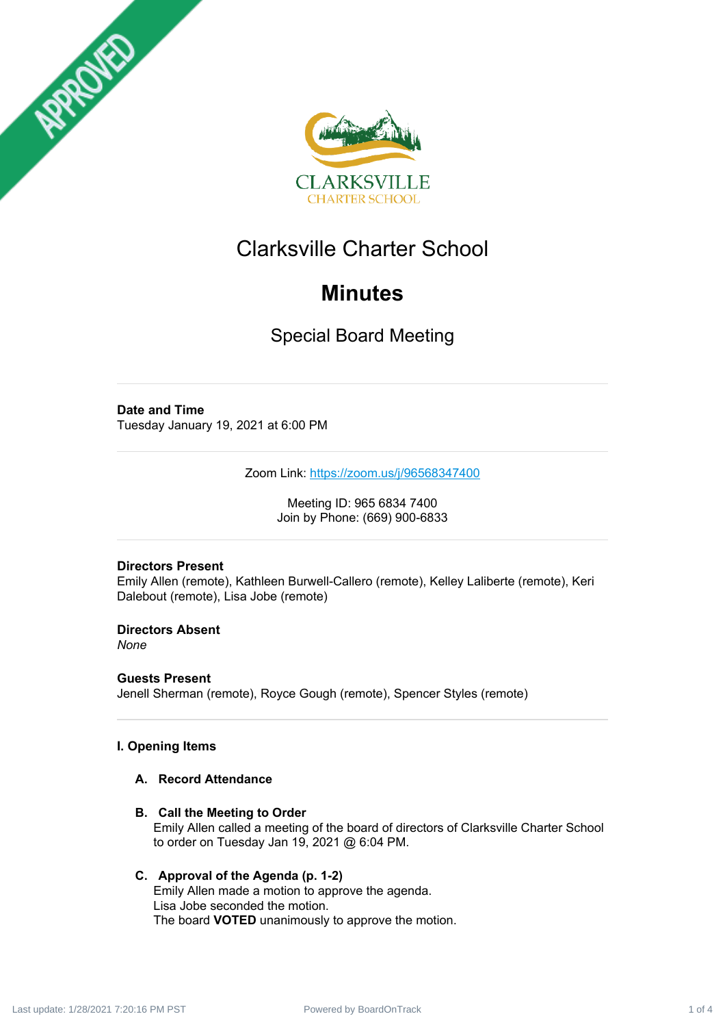



# Clarksville Charter School

# **Minutes**

Special Board Meeting

# **Date and Time**

Tuesday January 19, 2021 at 6:00 PM

Zoom Link: <https://zoom.us/j/96568347400>

Meeting ID: 965 6834 7400 Join by Phone: (669) 900-6833

# **Directors Present**

Emily Allen (remote), Kathleen Burwell-Callero (remote), Kelley Laliberte (remote), Keri Dalebout (remote), Lisa Jobe (remote)

**Directors Absent** *None*

**Guests Present** Jenell Sherman (remote), Royce Gough (remote), Spencer Styles (remote)

# **I. Opening Items**

# **A. Record Attendance**

**B. Call the Meeting to Order** Emily Allen called a meeting of the board of directors of Clarksville Charter School to order on Tuesday Jan 19, 2021 @ 6:04 PM.

# **C. Approval of the Agenda (p. 1-2)**

Emily Allen made a motion to approve the agenda. Lisa Jobe seconded the motion. The board **VOTED** unanimously to approve the motion.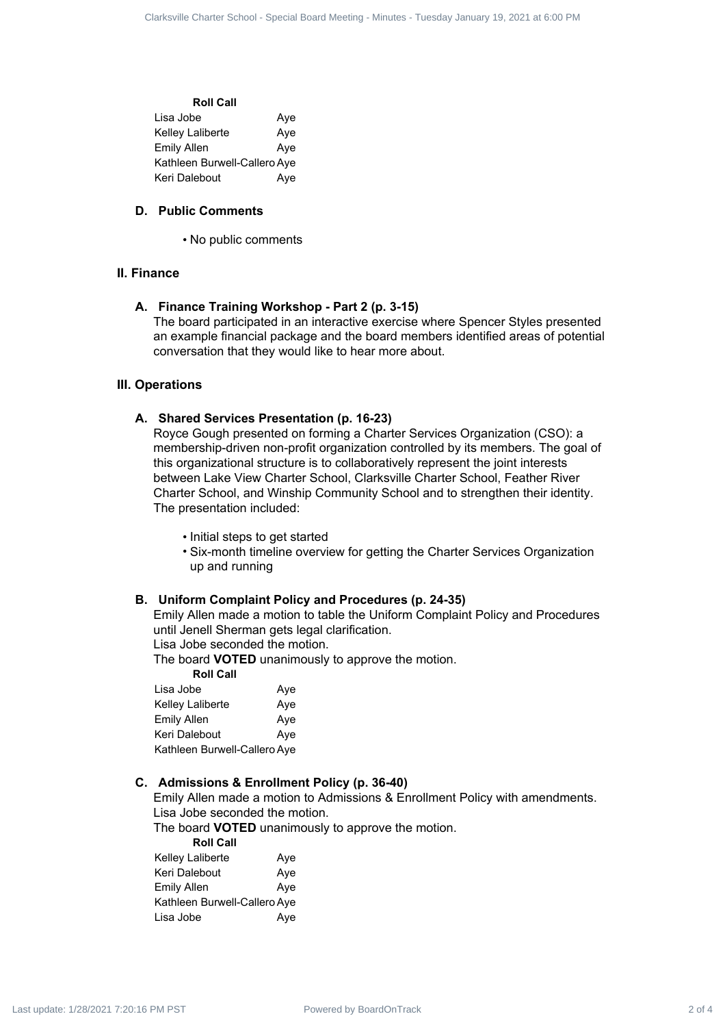| <b>Roll Call</b>             |     |
|------------------------------|-----|
| Lisa Jobe                    | Ave |
| Kelley Laliberte             | Aye |
| Emily Allen                  | Aye |
| Kathleen Burwell-Callero Aye |     |
| Keri Dalebout                | Ave |
|                              |     |

## **D. Public Comments**

• No public comments

#### **II. Finance**

#### **A. Finance Training Workshop - Part 2 (p. 3-15)**

The board participated in an interactive exercise where Spencer Styles presented an example financial package and the board members identified areas of potential conversation that they would like to hear more about.

# **III. Operations**

### **A. Shared Services Presentation (p. 16-23)**

Royce Gough presented on forming a Charter Services Organization (CSO): a membership-driven non-profit organization controlled by its members. The goal of this organizational structure is to collaboratively represent the joint interests between Lake View Charter School, Clarksville Charter School, Feather River Charter School, and Winship Community School and to strengthen their identity. The presentation included: Clarksville Charter School - Special Board Meeting - Minutes - Tuesday January 19, 2021<br>
The Ross Communistics - Application - Special Board Meeting - Minutes - Tuesday January 19, 2021<br>
2. Public Communistic<br>
2. Public C

- Initial steps to get started
- Six-month timeline overview for getting the Charter Services Organization up and running

#### **B. Uniform Complaint Policy and Procedures (p. 24-35)**

Emily Allen made a motion to table the Uniform Complaint Policy and Procedures until Jenell Sherman gets legal clarification.

Lisa Jobe seconded the motion.

The board **VOTED** unanimously to approve the motion.

| <b>Roll Call</b>             |     |
|------------------------------|-----|
| Lisa Jobe                    | Aye |
| Kelley Laliberte             | Aye |
| <b>Emily Allen</b>           | Aye |
| Keri Dalebout                | Aye |
| Kathleen Burwell-Callero Aye |     |

### **C. Admissions & Enrollment Policy (p. 36-40)**

Emily Allen made a motion to Admissions & Enrollment Policy with amendments. Lisa Jobe seconded the motion.

The board **VOTED** unanimously to approve the motion.

| <b>Roll Call</b>             |     |
|------------------------------|-----|
| <b>Kelley Laliberte</b>      | Aye |
| Keri Dalebout                | Aye |
| Emily Allen                  | Aye |
| Kathleen Burwell-Callero Aye |     |
| Lisa Jobe                    | Ave |
|                              |     |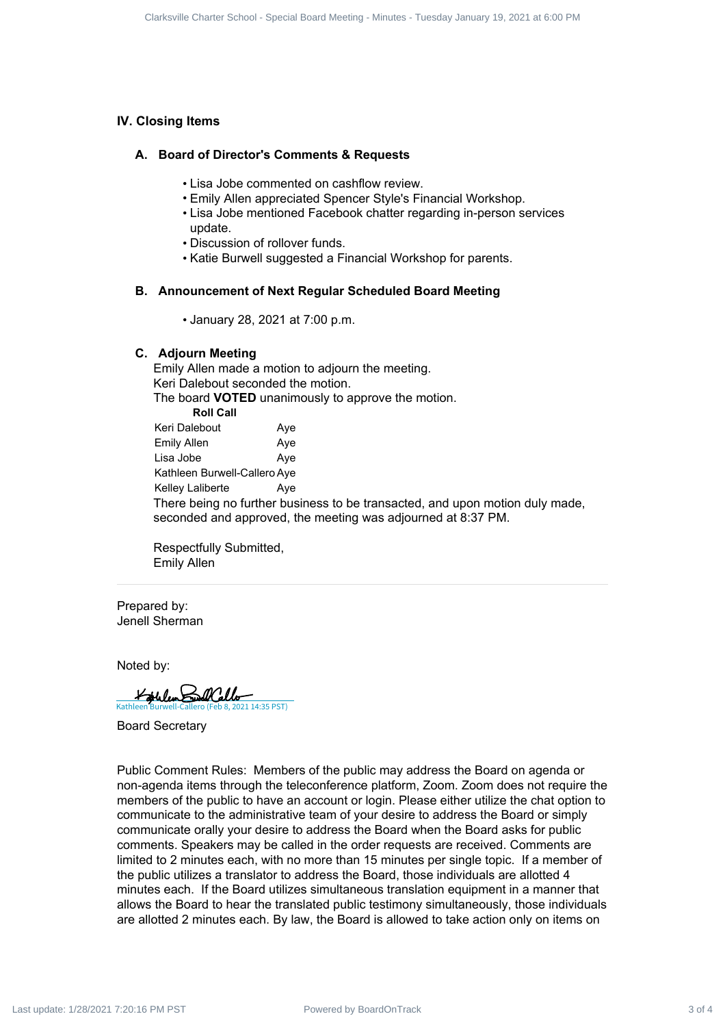## **IV. Closing Items**

#### **A. Board of Director's Comments & Requests**

- Lisa Jobe commented on cashflow review.
- Emily Allen appreciated Spencer Style's Financial Workshop.
- Lisa Jobe mentioned Facebook chatter regarding in-person services update.
- Discussion of rollover funds.
- Katie Burwell suggested a Financial Workshop for parents.

#### **B. Announcement of Next Regular Scheduled Board Meeting**

• January 28, 2021 at 7:00 p.m.

#### **C. Adjourn Meeting**

Emily Allen made a motion to adjourn the meeting. Keri Dalebout seconded the motion. The board **VOTED** unanimously to approve the motion. **Roll Call** Keri Dalebout **Aye** Emily Allen Aye Lisa Jobe **Aye** Kathleen Burwell-Callero Aye Kelley Laliberte Aye There being no further business to be transacted, and upon motion duly made, seconded and approved, the meeting was adjourned at 8:37 PM.

Respectfully Submitted, Emily Allen

Prepared by: Jenell Sherman

Noted by:

[Kathleen Burwell-Callero \(Feb 8, 2021 14:35 PST\)](https://na2.documents.adobe.com/verifier?tx=CBJCHBCAABAACWTUf5cq_ZCNktW--DukaN4HsrNKYF2Z)

Board Secretary

Public Comment Rules: Members of the public may address the Board on agenda or non-agenda items through the teleconference platform, Zoom. Zoom does not require the members of the public to have an account or login. Please either utilize the chat option to communicate to the administrative team of your desire to address the Board or simply communicate orally your desire to address the Board when the Board asks for public comments. Speakers may be called in the order requests are received. Comments are limited to 2 minutes each, with no more than 15 minutes per single topic. If a member of the public utilizes a translator to address the Board, those individuals are allotted 4 minutes each. If the Board utilizes simultaneous translation equipment in a manner that allows the Board to hear the translated public testimony simultaneously, those individuals are allotted 2 minutes each. By law, the Board is allowed to take action only on items on Clarks 10 Clarks 3 of 4 Clarksville Comparison 3 Requires the United Board Meeting - Tuesday School - Special Board Meeting - Tuesday Meeting - Tuesday January 19, 2022 at 6:00 PM Last update: 1/28/2021 7:20:16 PM Last up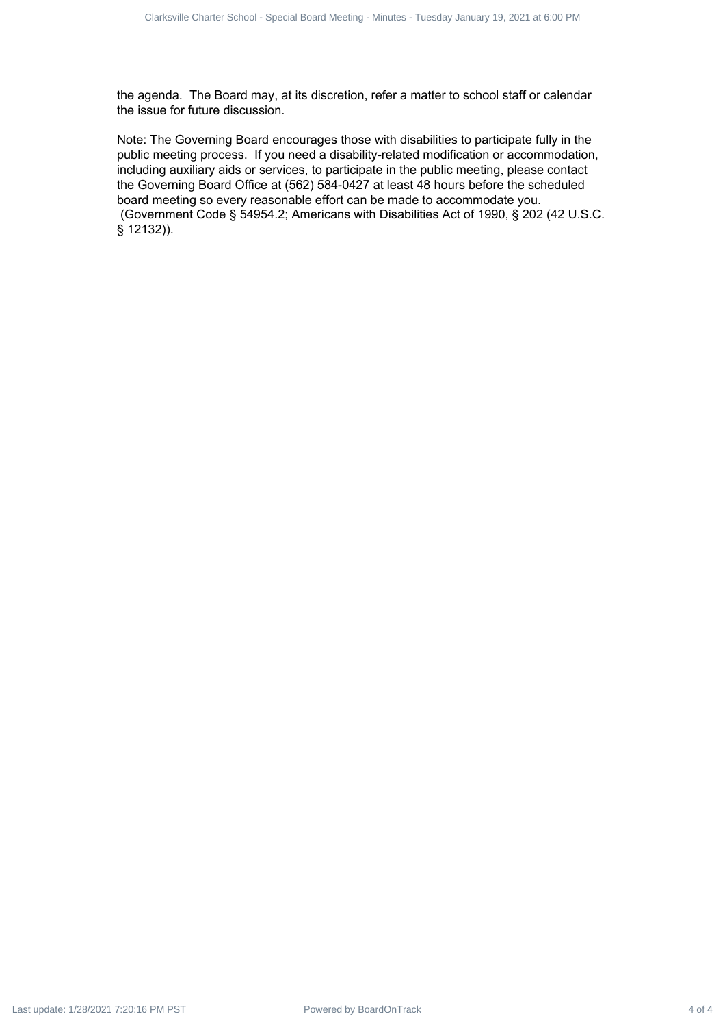the agenda. The Board may, at its discretion, refer a matter to school staff or calendar the issue for future discussion.

Note: The Governing Board encourages those with disabilities to participate fully in the public meeting process. If you need a disability-related modification or accommodation, including auxiliary aids or services, to participate in the public meeting, please contact the Governing Board Office at (562) 584-0427 at least 48 hours before the scheduled board meeting so every reasonable effort can be made to accommodate you. (Government Code § 54954.2; Americans with Disabilities Act of 1990, § 202 (42 U.S.C. § 12132)). Cuback 0-duback 4 of 4 Clarksville Charter School - Special Board Meeting - Minutes - Tuesday January 19, 2021<br>
The experiment The December Meeting - Minutes - Tuesday January 19, 2021 at 6:00 PM Last update: 1/28/2021 7: